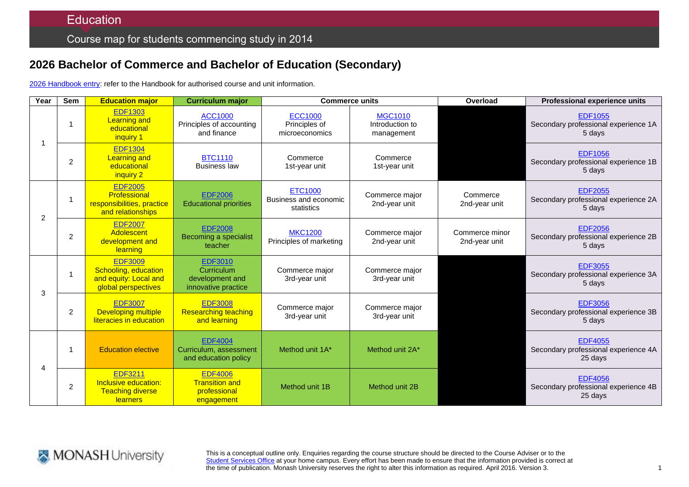# **2026 Bachelor of Commerce and Bachelor of Education (Secondary)**

2026 [Handbook entry:](http://www.monash.edu.au/pubs/2014handbooks/courses/2026.html) refer to the Handbook for authorised course and unit information.

| Year           | <b>Sem</b>     | <b>Education major</b>                                                                 | <b>Curriculum major</b>                                                | <b>Commerce units</b>                                 |                                                 | Overload                        | <b>Professional experience units</b>                              |
|----------------|----------------|----------------------------------------------------------------------------------------|------------------------------------------------------------------------|-------------------------------------------------------|-------------------------------------------------|---------------------------------|-------------------------------------------------------------------|
|                |                | <b>EDF1303</b><br><b>Learning and</b><br>educational<br>inquiry 1                      | <b>ACC1000</b><br>Principles of accounting<br>and finance              | <b>ECC1000</b><br>Principles of<br>microeconomics     | <b>MGC1010</b><br>Introduction to<br>management |                                 | <b>EDF1055</b><br>Secondary professional experience 1A<br>5 days  |
|                | $\overline{2}$ | <b>EDF1304</b><br><b>Learning and</b><br>educational<br>inquiry 2                      | <b>BTC1110</b><br><b>Business law</b>                                  | Commerce<br>1st-year unit                             | Commerce<br>1st-year unit                       |                                 | <b>EDF1056</b><br>Secondary professional experience 1B<br>5 days  |
| $\overline{2}$ |                | <b>EDF2005</b><br>Professional<br>responsibilities, practice<br>and relationships      | <b>EDF2006</b><br><b>Educational priorities</b>                        | <b>ETC1000</b><br>Business and economic<br>statistics | Commerce major<br>2nd-year unit                 | Commerce<br>2nd-year unit       | <b>EDF2055</b><br>Secondary professional experience 2A<br>5 days  |
|                | $\overline{2}$ | <b>EDF2007</b><br>Adolescent<br>development and<br>learning                            | <b>EDF2008</b><br>Becoming a specialist<br>teacher                     | <b>MKC1200</b><br>Principles of marketing             | Commerce major<br>2nd-year unit                 | Commerce minor<br>2nd-year unit | <b>EDF2056</b><br>Secondary professional experience 2B<br>5 days  |
| 3              | 1              | <b>EDF3009</b><br>Schooling, education<br>and equity: Local and<br>global perspectives | <b>EDF3010</b><br>Curriculum<br>development and<br>innovative practice | Commerce major<br>3rd-year unit                       | Commerce major<br>3rd-year unit                 |                                 | <b>EDF3055</b><br>Secondary professional experience 3A<br>5 days  |
|                | 2              | <b>EDF3007</b><br><b>Developing multiple</b><br>literacies in education                | <b>EDF3008</b><br><b>Researching teaching</b><br>and learning          | Commerce major<br>3rd-year unit                       | Commerce major<br>3rd-year unit                 |                                 | <b>EDF3056</b><br>Secondary professional experience 3B<br>5 days  |
|                |                | <b>Education elective</b>                                                              | <b>EDF4004</b><br>Curriculum, assessment<br>and education policy       | Method unit 1A*                                       | Method unit 2A*                                 |                                 | <b>EDF4055</b><br>Secondary professional experience 4A<br>25 days |
|                | 2              | <b>EDF3211</b><br>Inclusive education:<br><b>Teaching diverse</b><br>learners          | <b>EDF4006</b><br><b>Transition and</b><br>professional<br>engagement  | Method unit 1B                                        | Method unit 2B                                  |                                 | <b>EDF4056</b><br>Secondary professional experience 4B<br>25 days |



This is a conceptual outline only. Enquiries regarding the course structure should be directed to the Course Adviser or to the [Student Services Office](http://www.monash.edu/education/about/contact) at your home campus. Every effort has been made to ensure that the information provided is correct at the time of publication. Monash University reserves the right to alter this information as required. April 2016. Version 3.